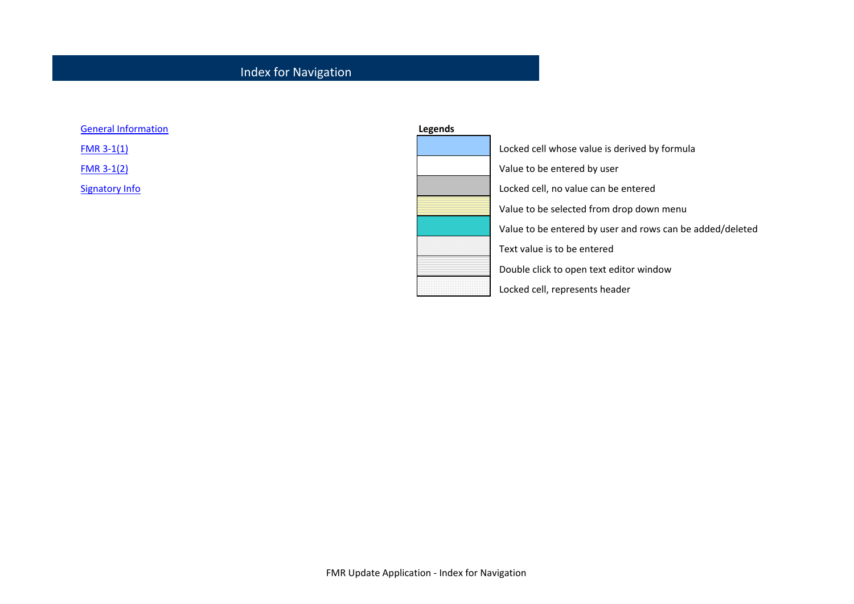### Index for Navigation

| <b>General Information</b> |  |
|----------------------------|--|
|                            |  |

 $FMR 3-1(1)$ 

**FMR 3-1(2)** 

Signatory Info

| neral Information | <b>Legends</b> |                                                           |
|-------------------|----------------|-----------------------------------------------------------|
| $R3-1(1)$         |                | Locked cell whose value is derived by formula             |
| $R3-1(2)$         |                | Value to be entered by user                               |
| natory Info       |                | Locked cell, no value can be entered                      |
|                   |                | Value to be selected from drop down menu                  |
|                   |                | Value to be entered by user and rows can be added/deleted |
|                   |                | Text value is to be entered                               |
|                   |                | Double click to open text editor window                   |
|                   |                | Locked cell, represents header                            |
|                   |                |                                                           |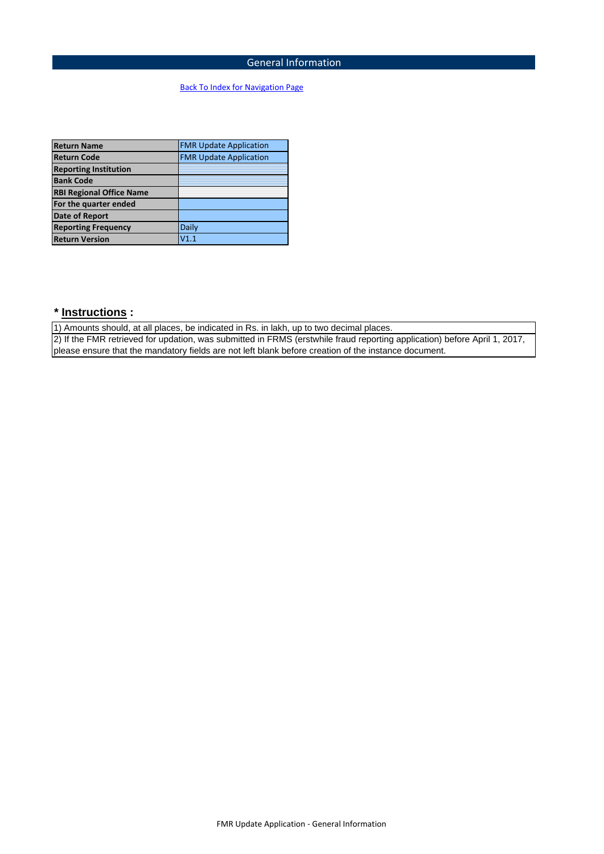### General Information

### Back To Index for Navigation Page

| <b>Return Name</b>              | <b>FMR Update Application</b> |
|---------------------------------|-------------------------------|
| <b>Return Code</b>              | <b>FMR Update Application</b> |
| <b>Reporting Institution</b>    |                               |
| <b>Bank Code</b>                |                               |
| <b>RBI Regional Office Name</b> |                               |
| For the quarter ended           |                               |
| <b>Date of Report</b>           |                               |
| <b>Reporting Frequency</b>      | Daily                         |
| <b>Return Version</b>           | V1.1                          |

## **\* Instructions :**

1) Amounts should, at all places, be indicated in Rs. in lakh, up to two decimal places. 2) If the FMR retrieved for updation, was submitted in FRMS (erstwhile fraud reporting application) before April 1, 2017, please ensure that the mandatory fields are not left blank before creation of the instance document.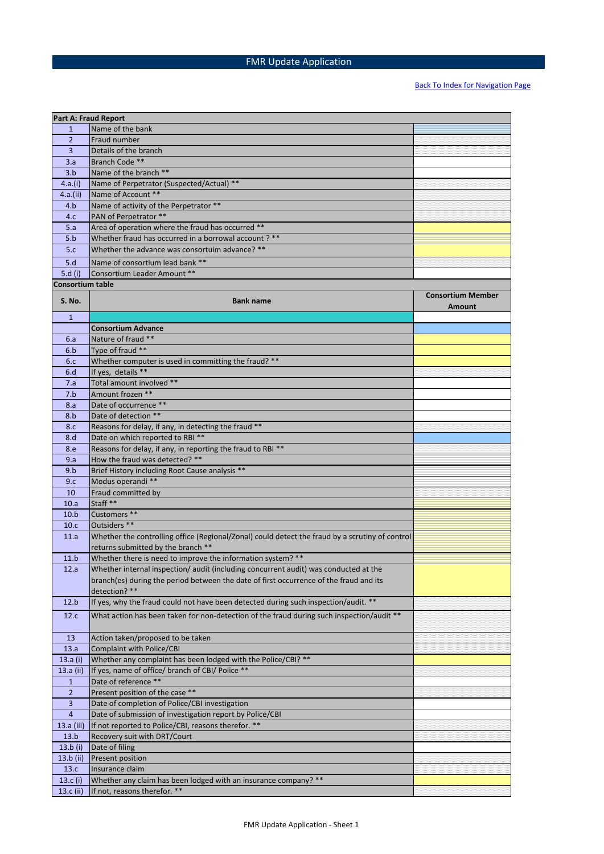## FMR Update Application

|                         | <b>Part A: Fraud Report</b>                                                                     |                                    |
|-------------------------|-------------------------------------------------------------------------------------------------|------------------------------------|
| $\mathbf{1}$            | Name of the bank                                                                                |                                    |
| $\overline{2}$          | Fraud number                                                                                    |                                    |
| $\overline{3}$          | Details of the branch                                                                           |                                    |
| 3.a                     | Branch Code **                                                                                  |                                    |
| 3.b                     | Name of the branch **                                                                           |                                    |
| 4.a.(i)                 | Name of Perpetrator (Suspected/Actual) **                                                       |                                    |
| 4.a.(ii)                | Name of Account **                                                                              |                                    |
| 4.b                     | Name of activity of the Perpetrator **                                                          |                                    |
| 4.c                     | PAN of Perpetrator **                                                                           |                                    |
| 5.a                     | Area of operation where the fraud has occurred **                                               |                                    |
|                         |                                                                                                 |                                    |
| 5.b                     | Whether fraud has occurred in a borrowal account? **                                            |                                    |
| 5.c                     | Whether the advance was consortuim advance? **                                                  |                                    |
| 5.d                     | Name of consortium lead bank **                                                                 |                                    |
| 5. $d(i)$               | Consortium Leader Amount **                                                                     |                                    |
| <b>Consortium table</b> |                                                                                                 |                                    |
| <b>S. No.</b>           | <b>Bank name</b>                                                                                | <b>Consortium Member</b><br>Amount |
| $\mathbf{1}$            |                                                                                                 |                                    |
|                         | <b>Consortium Advance</b>                                                                       |                                    |
| 6.a                     | Nature of fraud **                                                                              |                                    |
| 6.b                     | Type of fraud **                                                                                |                                    |
| 6.c                     | Whether computer is used in committing the fraud? **                                            |                                    |
| 6.d                     | If yes. details **                                                                              |                                    |
| 7.a                     | Total amount involved **                                                                        |                                    |
| 7.b                     | Amount frozen **                                                                                |                                    |
| 8.a                     | Date of occurrence **                                                                           |                                    |
| 8.b                     | Date of detection **                                                                            |                                    |
| 8.c                     | Reasons for delay, if any, in detecting the fraud **                                            |                                    |
| 8.d                     | Date on which reported to RBI **                                                                |                                    |
| 8.e                     | Reasons for delay, if any, in reporting the fraud to RBI **                                     |                                    |
| 9.a                     | How the fraud was detected? **                                                                  |                                    |
| 9.b                     | Brief History including Root Cause analysis **                                                  |                                    |
| 9.c                     | Modus operandi **                                                                               |                                    |
| 10                      | Fraud committed by                                                                              |                                    |
| 10.a                    | Staff <sup>**</sup>                                                                             |                                    |
| 10.b                    | Customers **                                                                                    |                                    |
| 10.c                    | Outsiders **                                                                                    |                                    |
| 11.a                    | Whether the controlling office (Regional/Zonal) could detect the fraud by a scrutiny of control |                                    |
|                         | returns submitted by the branch **                                                              |                                    |
| 11.b                    | Whether there is need to improve the information system? **                                     |                                    |
| 12.a                    | Whether internal inspection/ audit (including concurrent audit) was conducted at the            |                                    |
|                         | branch(es) during the period between the date of first occurrence of the fraud and its          |                                    |
|                         | detection? **                                                                                   |                                    |
| 12.b                    | If yes, why the fraud could not have been detected during such inspection/audit. **             |                                    |
|                         |                                                                                                 |                                    |
| 12.c                    | What action has been taken for non-detection of the fraud during such inspection/audit **       |                                    |
| 13                      | Action taken/proposed to be taken                                                               |                                    |
| 13.a                    | <b>Complaint with Police/CBI</b>                                                                |                                    |
| 13.a $(i)$              | Whether any complaint has been lodged with the Police/CBI? **                                   |                                    |
| 13.a (ii)               | If yes, name of office/ branch of CBI/ Police **                                                |                                    |
| $\mathbf{1}$            | Date of reference **                                                                            |                                    |
| $\overline{2}$          | Present position of the case **                                                                 |                                    |
| 3                       | Date of completion of Police/CBI investigation                                                  |                                    |
| $\overline{4}$          | Date of submission of investigation report by Police/CBI                                        |                                    |
| 13.a (iii)              | If not reported to Police/CBI, reasons therefor. **                                             |                                    |
| 13.b                    | Recovery suit with DRT/Court                                                                    |                                    |
| 13.b $(i)$              | Date of filing                                                                                  |                                    |
| 13.b (ii)               | Present position                                                                                |                                    |
| 13.c                    | Insurance claim                                                                                 |                                    |
| 13. $c(i)$              | Whether any claim has been lodged with an insurance company? **                                 |                                    |
| 13.c (ii)               | If not, reasons therefor. **                                                                    |                                    |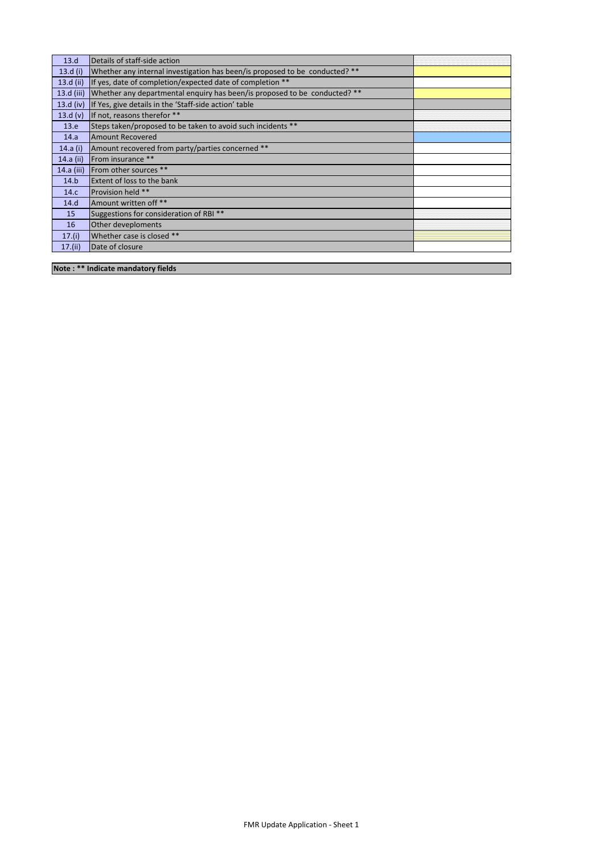| 13.d         | Details of staff-side action                                                |  |
|--------------|-----------------------------------------------------------------------------|--|
| 13. $d(i)$   | Whether any internal investigation has been/is proposed to be conducted? ** |  |
| 13. $d$ (ii) | If yes, date of completion/expected date of completion **                   |  |
| 13.d (iii)   | Whether any departmental enguiry has been/is proposed to be conducted? **   |  |
| $13.d$ (iv)  | If Yes, give details in the 'Staff-side action' table                       |  |
| 13.d(v)      | If not, reasons therefor **                                                 |  |
| 13.e         | Steps taken/proposed to be taken to avoid such incidents **                 |  |
| 14.a         | <b>Amount Recovered</b>                                                     |  |
| 14.a (i)     | Amount recovered from party/parties concerned **                            |  |
| 14.a (ii)    | From insurance **                                                           |  |
| 14.a (iii)   | <b>From other sources</b> **                                                |  |
| 14.b         | <b>Extent of loss to the bank</b>                                           |  |
| 14.c         | Provision held **                                                           |  |
| 14.d         | Amount written off **                                                       |  |
| 15           | Suggestions for consideration of RBI **                                     |  |
| 16           | Other deveploments                                                          |  |
| 17.(i)       | Whether case is closed **                                                   |  |
| 17.(ii)      | Date of closure                                                             |  |
|              |                                                                             |  |

**Note : \*\* Indicate mandatory fields**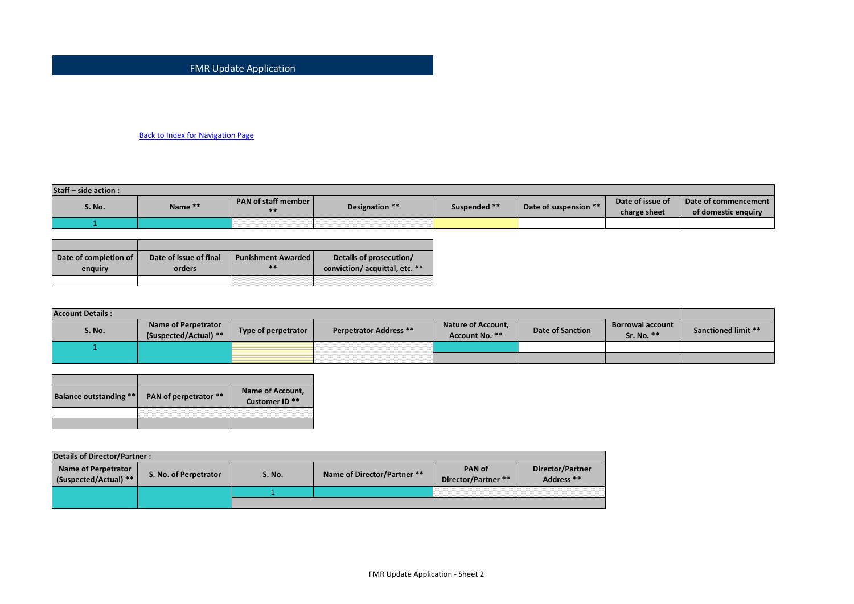#### FMR Update Application

#### Back to Index for Navigation Page

| Staff – side action: |         |                       |                |              |                       |                  |                      |  |
|----------------------|---------|-----------------------|----------------|--------------|-----------------------|------------------|----------------------|--|
| S. No.               | Name ** | PAN of staff member L | Designation ** | Suspended ** | Date of suspension ** | Date of issue of | Date of commencement |  |
|                      |         |                       |                |              |                       | charge sheet     | of domestic enquiry  |  |
|                      |         |                       |                |              |                       |                  |                      |  |

| Date of completion of<br>enguiry | Date of issue of final<br>orders | <b>Punishment Awarded  </b><br>** | Details of prosecution/<br>conviction/acquittal, etc. ** |
|----------------------------------|----------------------------------|-----------------------------------|----------------------------------------------------------|
|                                  |                                  |                                   |                                                          |

| <b>Account Details:</b> |                                              |                     |                               |                                             |                         |                                       |                            |
|-------------------------|----------------------------------------------|---------------------|-------------------------------|---------------------------------------------|-------------------------|---------------------------------------|----------------------------|
| <b>S. No.</b>           | Name of Perpetrator<br>(Suspected/Actual) ** | Type of perpetrator | <b>Perpetrator Address **</b> | <b>Nature of Account,</b><br>Account No. ** | <b>Date of Sanction</b> | <b>Borrowal account</b><br>Sr. No. ** | <b>Sanctioned limit **</b> |
|                         |                                              |                     |                               |                                             |                         |                                       |                            |
|                         |                                              |                     |                               |                                             |                         |                                       |                            |

| <b>Balance outstanding **</b> | PAN of perpetrator ** | Name of Account,<br>Customer ID <sup>**</sup> |
|-------------------------------|-----------------------|-----------------------------------------------|
|                               |                       |                                               |

| Details of Director/Partner:                 |                       |        |                             |                                      |                                |  |
|----------------------------------------------|-----------------------|--------|-----------------------------|--------------------------------------|--------------------------------|--|
| Name of Perpetrator<br>(Suspected/Actual) ** | S. No. of Perpetrator | S. No. | Name of Director/Partner ** | <b>PAN of</b><br>Director/Partner ** | Director/Partner<br>Address ** |  |
|                                              |                       |        |                             |                                      |                                |  |
|                                              |                       |        |                             |                                      |                                |  |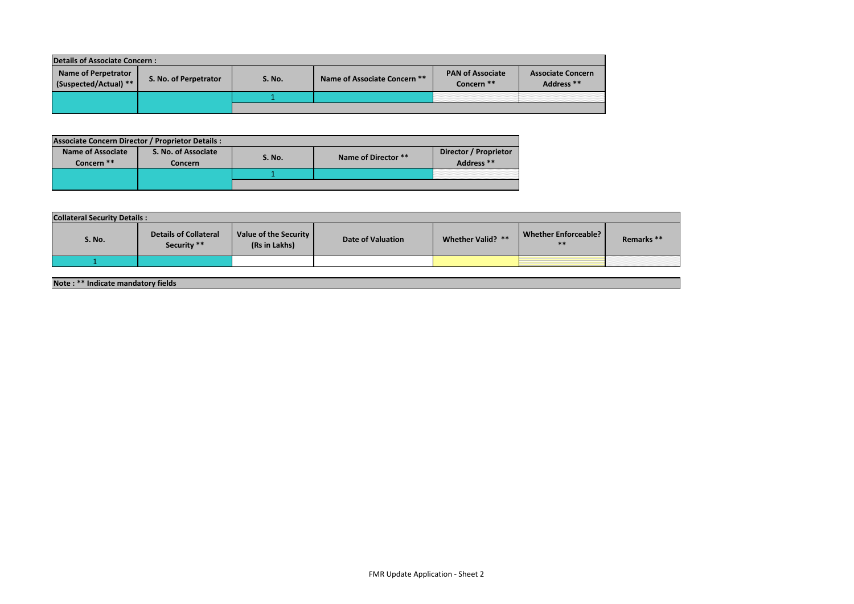| <b>Details of Associate Concern:</b>                |                       |  |                              |                                                                                            |  |  |  |
|-----------------------------------------------------|-----------------------|--|------------------------------|--------------------------------------------------------------------------------------------|--|--|--|
| <b>Name of Perpetrator</b><br>(Suspected/Actual) ** | S. No. of Perpetrator |  | Name of Associate Concern ** | <b>PAN of Associate</b><br><b>Associate Concern</b><br>Address **<br>Concern <sup>**</sup> |  |  |  |
|                                                     |                       |  |                              |                                                                                            |  |  |  |
|                                                     |                       |  |                              |                                                                                            |  |  |  |

| <b>Associate Concern Director / Proprietor Details:</b> |  |                                |        |                     |                                     |  |  |
|---------------------------------------------------------|--|--------------------------------|--------|---------------------|-------------------------------------|--|--|
| <b>Name of Associate</b><br>Concern <sup>**</sup>       |  | S. No. of Associate<br>Concern | S. No. | Name of Director ** | Director / Proprietor<br>Address ** |  |  |
|                                                         |  |                                |        |                     |                                     |  |  |
|                                                         |  |                                |        |                     |                                     |  |  |

| <b>Collateral Security Details:</b> |                                             |                                        |                   |                   |                               |                       |  |
|-------------------------------------|---------------------------------------------|----------------------------------------|-------------------|-------------------|-------------------------------|-----------------------|--|
| S. No.                              | <b>Details of Collateral</b><br>Security ** | Value of the Security<br>(Rs in Lakhs) | Date of Valuation | Whether Valid? ** | Whether Enforceable?<br>$***$ | Remarks <sup>**</sup> |  |
|                                     |                                             |                                        |                   |                   |                               |                       |  |

#### **Note : \*\* Indicate mandatory fields**